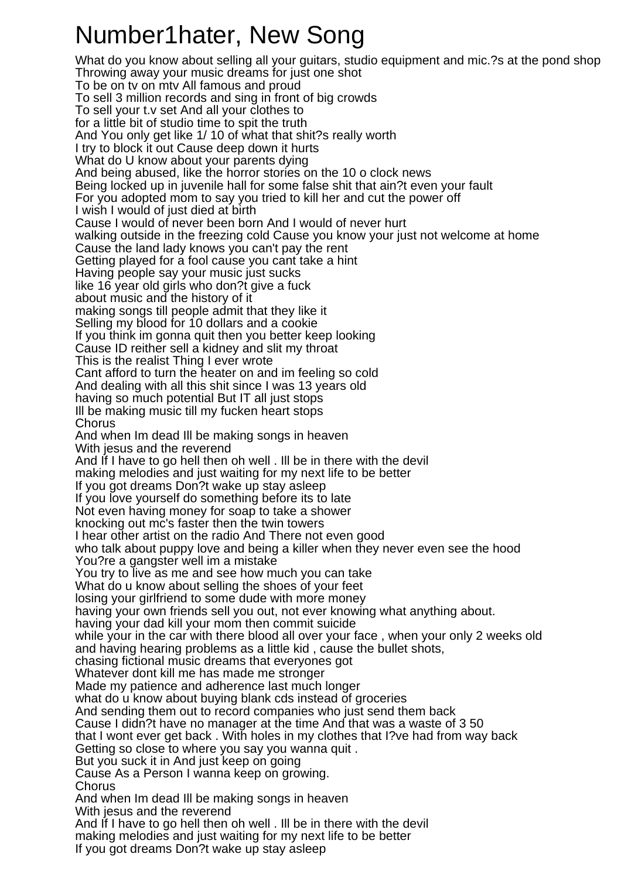## Number1hater, New Song

What do you know about selling all your guitars, studio equipment and mic.?s at the pond shop Throwing away your music dreams for just one shot To be on tv on mtv All famous and proud To sell 3 million records and sing in front of big crowds To sell your t.v set And all your clothes to for a little bit of studio time to spit the truth And You only get like 1/ 10 of what that shit?s really worth I try to block it out Cause deep down it hurts What do U know about your parents dying And being abused, like the horror stories on the 10 o clock news Being locked up in juvenile hall for some false shit that ain?t even your fault For you adopted mom to say you tried to kill her and cut the power off I wish I would of just died at birth Cause I would of never been born And I would of never hurt walking outside in the freezing cold Cause you know your just not welcome at home Cause the land lady knows you can't pay the rent Getting played for a fool cause you cant take a hint Having people say your music just sucks like 16 year old girls who don?t give a fuck about music and the history of it making songs till people admit that they like it Selling my blood for 10 dollars and a cookie If you think im gonna quit then you better keep looking Cause ID reither sell a kidney and slit my throat This is the realist Thing I ever wrote Cant afford to turn the heater on and im feeling so cold And dealing with all this shit since I was 13 years old having so much potential But IT all just stops Ill be making music till my fucken heart stops Chorus And when Im dead Ill be making songs in heaven With jesus and the reverend And If I have to go hell then oh well . Ill be in there with the devil making melodies and just waiting for my next life to be better If you got dreams Don?t wake up stay asleep If you love yourself do something before its to late Not even having money for soap to take a shower knocking out mc's faster then the twin towers I hear other artist on the radio And There not even good who talk about puppy love and being a killer when they never even see the hood You?re a gangster well im a mistake You try to live as me and see how much you can take What do u know about selling the shoes of your feet losing your girlfriend to some dude with more money having your own friends sell you out, not ever knowing what anything about. having your dad kill your mom then commit suicide while your in the car with there blood all over your face , when your only 2 weeks old and having hearing problems as a little kid , cause the bullet shots, chasing fictional music dreams that everyones got Whatever dont kill me has made me stronger Made my patience and adherence last much longer what do u know about buying blank cds instead of groceries And sending them out to record companies who just send them back Cause I didn?t have no manager at the time And that was a waste of 3 50 that I wont ever get back . With holes in my clothes that I?ve had from way back Getting so close to where you say you wanna quit . But you suck it in And just keep on going Cause As a Person I wanna keep on growing. Chorus And when Im dead Ill be making songs in heaven With jesus and the reverend And If I have to go hell then oh well . Ill be in there with the devil making melodies and just waiting for my next life to be better

If you got dreams Don?t wake up stay asleep